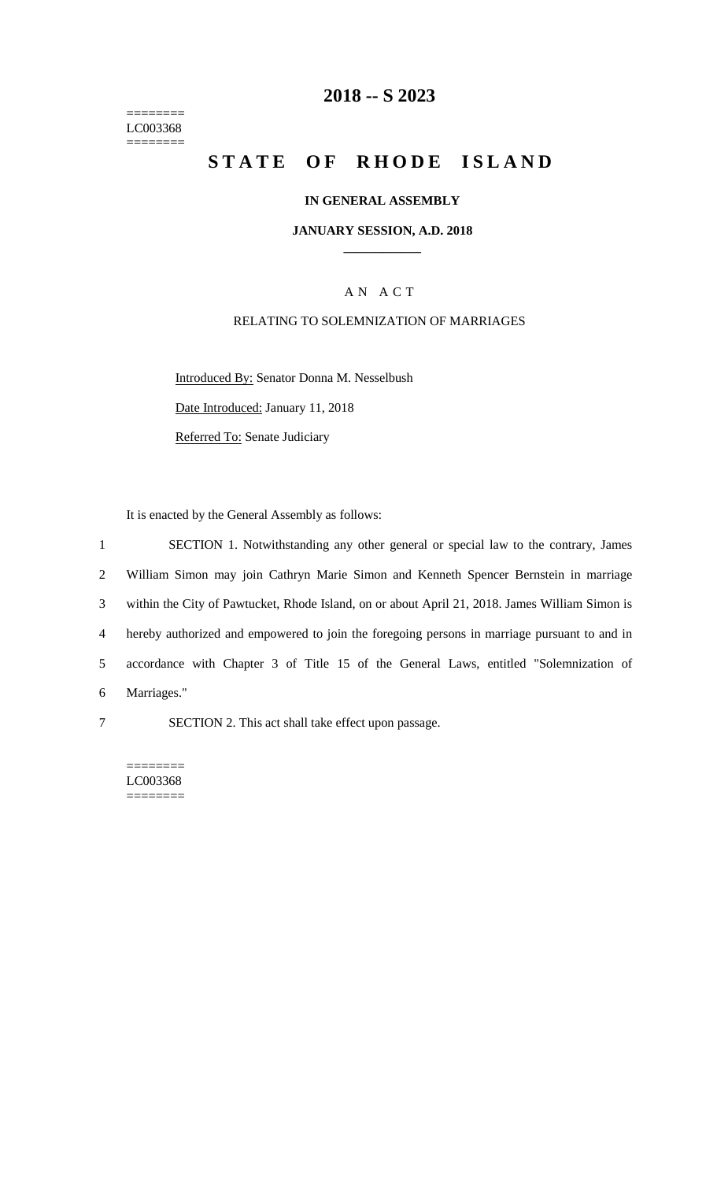======== LC003368  $=$ 

## **2018 -- S 2023**

# **STATE OF RHODE ISLAND**

#### **IN GENERAL ASSEMBLY**

#### **JANUARY SESSION, A.D. 2018 \_\_\_\_\_\_\_\_\_\_\_\_**

### A N A C T

#### RELATING TO SOLEMNIZATION OF MARRIAGES

Introduced By: Senator Donna M. Nesselbush

Date Introduced: January 11, 2018

Referred To: Senate Judiciary

It is enacted by the General Assembly as follows:

 SECTION 1. Notwithstanding any other general or special law to the contrary, James William Simon may join Cathryn Marie Simon and Kenneth Spencer Bernstein in marriage within the City of Pawtucket, Rhode Island, on or about April 21, 2018. James William Simon is hereby authorized and empowered to join the foregoing persons in marriage pursuant to and in accordance with Chapter 3 of Title 15 of the General Laws, entitled "Solemnization of Marriages."

7 SECTION 2. This act shall take effect upon passage.

======== LC003368 ========